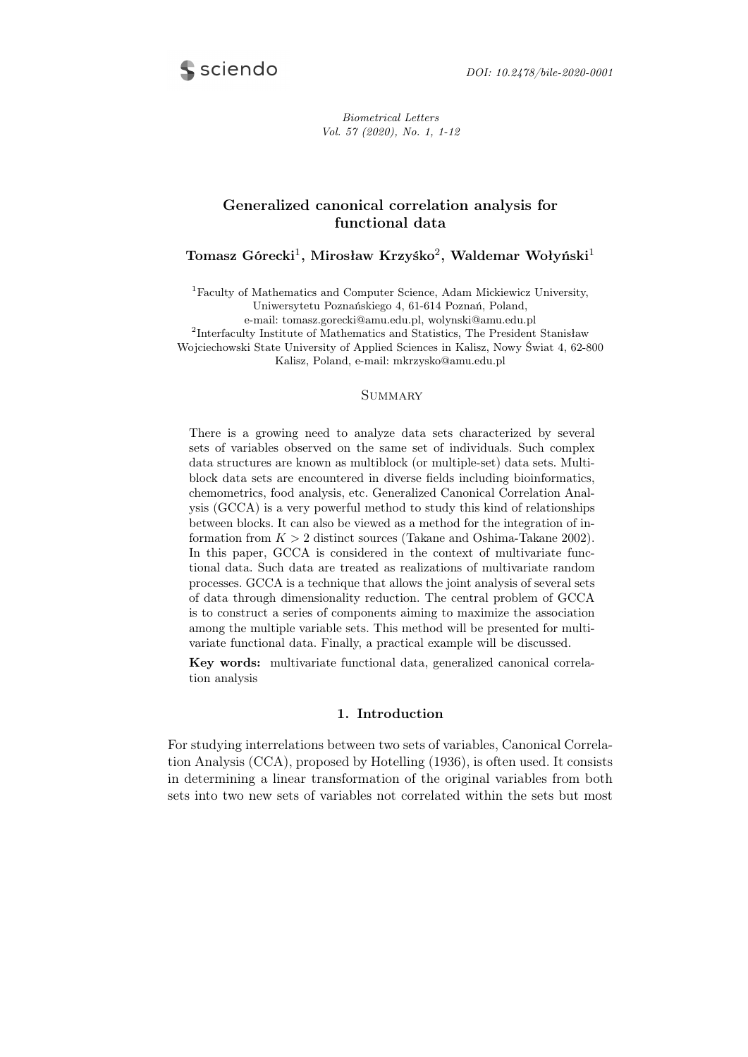

Biometrical Letters Vol. 57 (2020), No. 1, 1-12

# Generalized canonical correlation analysis for functional data

# Tomasz Górecki $^1$ , Mirosław Krzyśko $^2$ , Waldemar Wołyński $^1$

<sup>1</sup>Faculty of Mathematics and Computer Science, Adam Mickiewicz University, Uniwersytetu Poznańskiego 4, 61-614 Poznań, Poland,

e-mail: tomasz.gorecki@amu.edu.pl, wolynski@amu.edu.pl

2 Interfaculty Institute of Mathematics and Statistics, The President Stanisław Wojciechowski State University of Applied Sciences in Kalisz, Nowy Świat 4, 62-800

Kalisz, Poland, e-mail: mkrzysko@amu.edu.pl

### **SUMMARY**

There is a growing need to analyze data sets characterized by several sets of variables observed on the same set of individuals. Such complex data structures are known as multiblock (or multiple-set) data sets. Multiblock data sets are encountered in diverse fields including bioinformatics, chemometrics, food analysis, etc. Generalized Canonical Correlation Analysis (GCCA) is a very powerful method to study this kind of relationships between blocks. It can also be viewed as a method for the integration of information from *K >* 2 distinct sources (Takane and Oshima-Takane 2002). In this paper, GCCA is considered in the context of multivariate functional data. Such data are treated as realizations of multivariate random processes. GCCA is a technique that allows the joint analysis of several sets of data through dimensionality reduction. The central problem of GCCA is to construct a series of components aiming to maximize the association among the multiple variable sets. This method will be presented for multivariate functional data. Finally, a practical example will be discussed.

Key words: multivariate functional data, generalized canonical correlation analysis

## 1. Introduction

For studying interrelations between two sets of variables, Canonical Correlation Analysis (CCA), proposed by Hotelling (1936), is often used. It consists in determining a linear transformation of the original variables from both sets into two new sets of variables not correlated within the sets but most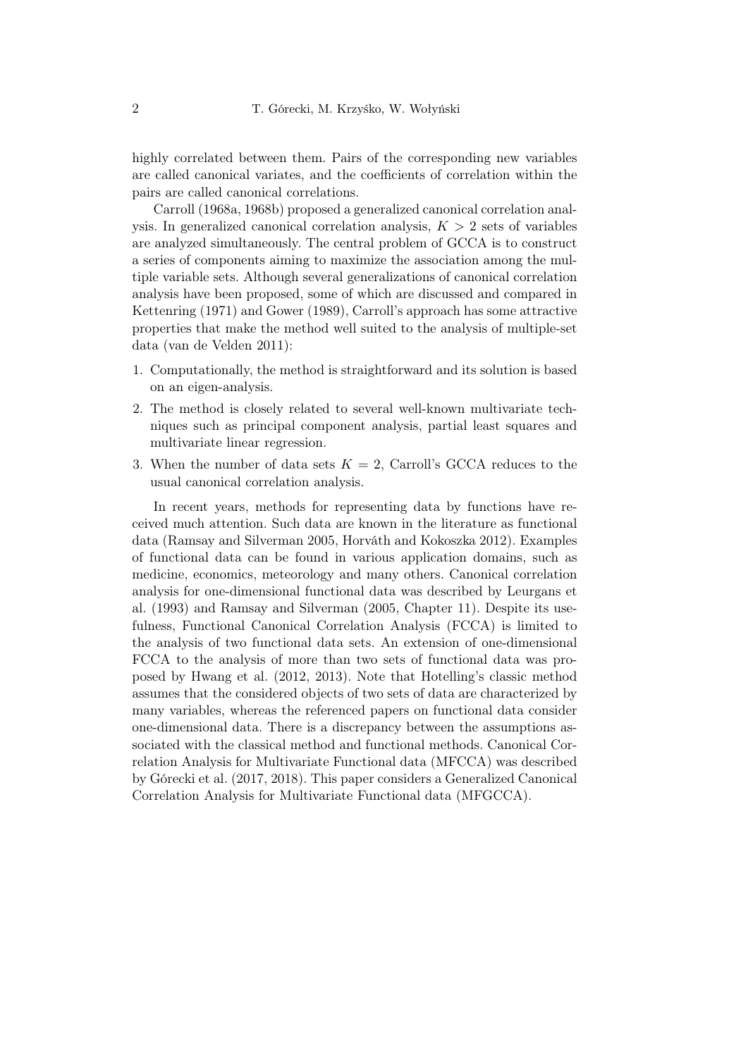highly correlated between them. Pairs of the corresponding new variables are called canonical variates, and the coefficients of correlation within the pairs are called canonical correlations.

Carroll (1968a, 1968b) proposed a generalized canonical correlation analysis. In generalized canonical correlation analysis,  $K > 2$  sets of variables are analyzed simultaneously. The central problem of GCCA is to construct a series of components aiming to maximize the association among the multiple variable sets. Although several generalizations of canonical correlation analysis have been proposed, some of which are discussed and compared in Kettenring (1971) and Gower (1989), Carroll's approach has some attractive properties that make the method well suited to the analysis of multiple-set data (van de Velden 2011):

- 1. Computationally, the method is straightforward and its solution is based on an eigen-analysis.
- 2. The method is closely related to several well-known multivariate techniques such as principal component analysis, partial least squares and multivariate linear regression.
- 3. When the number of data sets  $K = 2$ , Carroll's GCCA reduces to the usual canonical correlation analysis.

In recent years, methods for representing data by functions have received much attention. Such data are known in the literature as functional data (Ramsay and Silverman 2005, Horváth and Kokoszka 2012). Examples of functional data can be found in various application domains, such as medicine, economics, meteorology and many others. Canonical correlation analysis for one-dimensional functional data was described by Leurgans et al. (1993) and Ramsay and Silverman (2005, Chapter 11). Despite its usefulness, Functional Canonical Correlation Analysis (FCCA) is limited to the analysis of two functional data sets. An extension of one-dimensional FCCA to the analysis of more than two sets of functional data was proposed by Hwang et al. (2012, 2013). Note that Hotelling's classic method assumes that the considered objects of two sets of data are characterized by many variables, whereas the referenced papers on functional data consider one-dimensional data. There is a discrepancy between the assumptions associated with the classical method and functional methods. Canonical Correlation Analysis for Multivariate Functional data (MFCCA) was described by Górecki et al. (2017, 2018). This paper considers a Generalized Canonical Correlation Analysis for Multivariate Functional data (MFGCCA).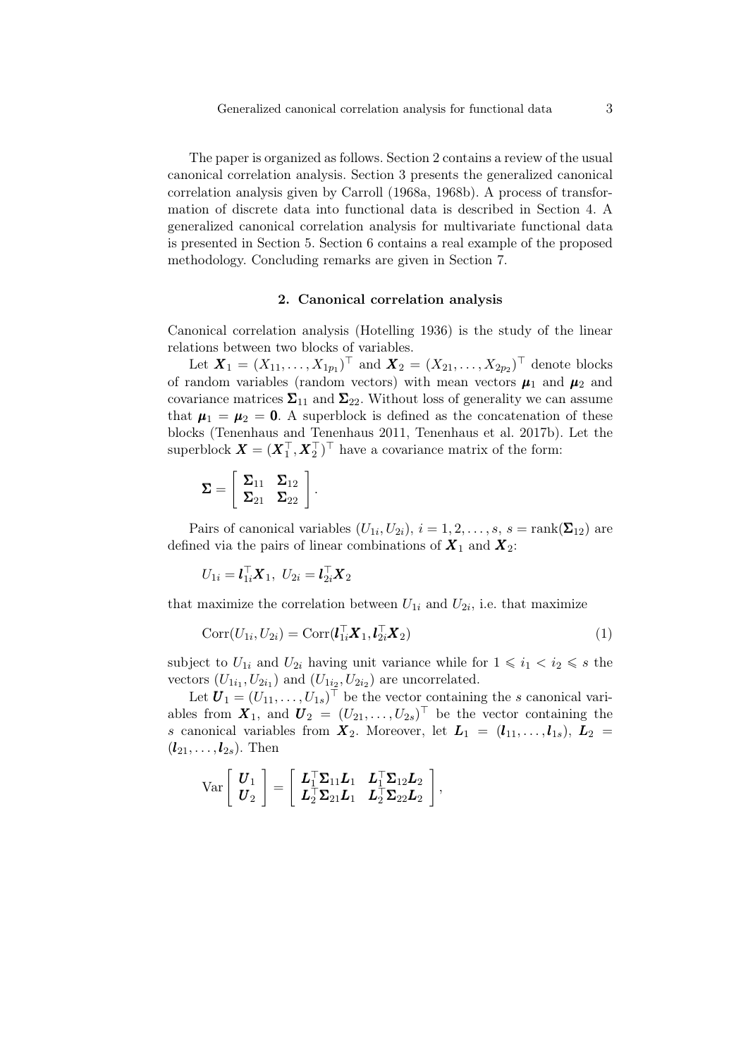The paper is organized as follows. Section 2 contains a review of the usual canonical correlation analysis. Section 3 presents the generalized canonical correlation analysis given by Carroll (1968a, 1968b). A process of transformation of discrete data into functional data is described in Section 4. A generalized canonical correlation analysis for multivariate functional data is presented in Section 5. Section 6 contains a real example of the proposed methodology. Concluding remarks are given in Section 7.

## 2. Canonical correlation analysis

Canonical correlation analysis (Hotelling 1936) is the study of the linear relations between two blocks of variables.

Let  $X_1 = (X_{11}, \ldots, X_{1p_1})^{\top}$  and  $X_2 = (X_{21}, \ldots, X_{2p_2})^{\top}$  denote blocks of random variables (random vectors) with mean vectors  $\mu_1$  and  $\mu_2$  and covariance matrices  $\Sigma_{11}$  and  $\Sigma_{22}$ . Without loss of generality we can assume that  $\mu_1 = \mu_2 = 0$ . A superblock is defined as the concatenation of these blocks (Tenenhaus and Tenenhaus 2011, Tenenhaus et al. 2017b). Let the superblock  $\boldsymbol{X} = (\boldsymbol{X}_1^\top, \boldsymbol{X}_2^\top)^\top$  have a covariance matrix of the form:

$$
\pmb{\Sigma} = \left[\begin{array}{cc} \pmb{\Sigma}_{11} & \pmb{\Sigma}_{12} \\ \pmb{\Sigma}_{21} & \pmb{\Sigma}_{22} \end{array}\right].
$$

Pairs of canonical variables  $(U_{1i}, U_{2i}), i = 1, 2, \ldots, s, s = \text{rank}(\mathbf{\Sigma}_{12})$  are defined via the pairs of linear combinations of  $X_1$  and  $X_2$ :

$$
U_{1i} = \mathbf{l}_{1i}^{\top} \mathbf{X}_1, \ U_{2i} = \mathbf{l}_{2i}^{\top} \mathbf{X}_2
$$

that maximize the correlation between  $U_{1i}$  and  $U_{2i}$ , i.e. that maximize

$$
Corr(U_{1i}, U_{2i}) = Corr(\mathbf{l}_{1i}^{\top} \mathbf{X}_1, \mathbf{l}_{2i}^{\top} \mathbf{X}_2)
$$
\n(1)

subject to  $U_{1i}$  and  $U_{2i}$  having unit variance while for  $1 \leq i_1 < i_2 \leq s$  the vectors  $(U_{1i_1}, U_{2i_1})$  and  $(U_{1i_2}, U_{2i_2})$  are uncorrelated.

Let  $\mathbf{U}_1 = (U_{11}, \ldots, U_{1s})^\top$  be the vector containing the *s* canonical variables from  $\boldsymbol{X}_1$ , and  $\boldsymbol{U}_2 = (U_{21}, \ldots, U_{2s})^\top$  be the vector containing the *s* canonical variables from  $X_2$ . Moreover, let  $L_1 = (l_{11}, \ldots, l_{1s}), L_2 =$  $(l_{21}, \ldots, l_{2s})$ . Then

$$
\text{Var}\left[\begin{array}{c} \boldsymbol{U}_1\\ \boldsymbol{U}_2 \end{array}\right] = \left[\begin{array}{cc} \boldsymbol{L}_1^\top \boldsymbol{\Sigma}_{11} \boldsymbol{L}_1 & \boldsymbol{L}_1^\top \boldsymbol{\Sigma}_{12} \boldsymbol{L}_2 \\ \boldsymbol{L}_2^\top \boldsymbol{\Sigma}_{21} \boldsymbol{L}_1 & \boldsymbol{L}_2^\top \boldsymbol{\Sigma}_{22} \boldsymbol{L}_2 \end{array}\right],
$$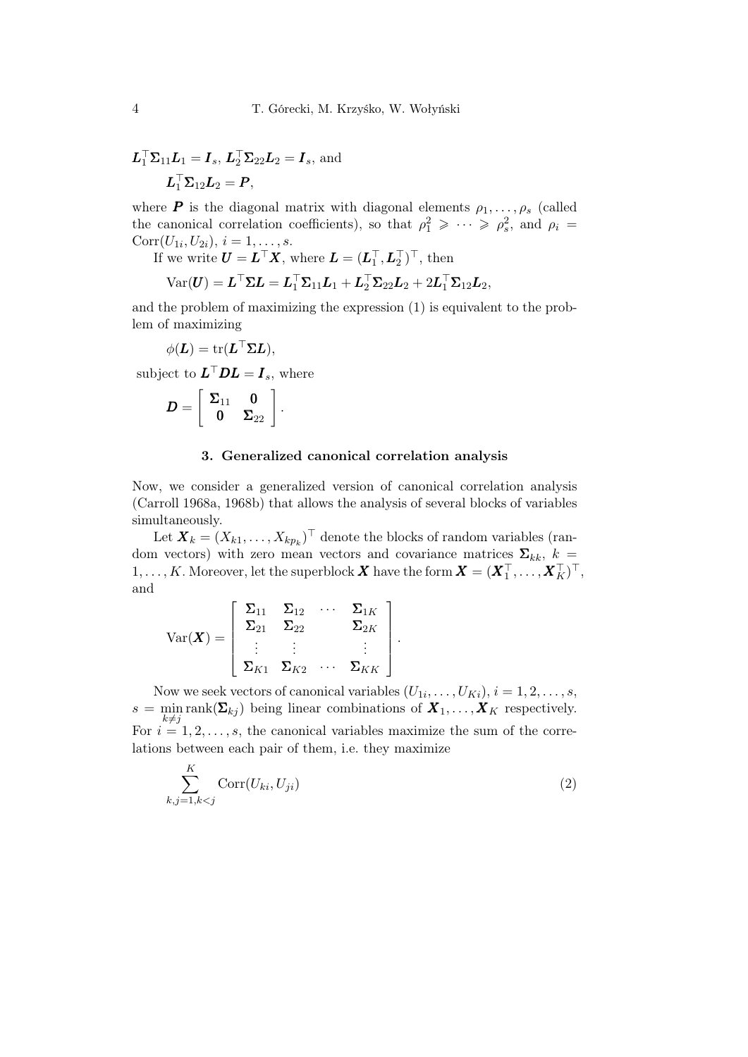$$
L_1^{\top} \Sigma_{11} L_1 = I_s, L_2^{\top} \Sigma_{22} L_2 = I_s, \text{ and}
$$

$$
L_1^{\top} \Sigma_{12} L_2 = P,
$$

where **P** is the diagonal matrix with diagonal elements  $\rho_1, \ldots, \rho_s$  (called the canonical correlation coefficients), so that  $\rho_1^2 \geqslant \cdots \geqslant \rho_s^2$ , and  $\rho_i =$  $Corr(U_{1i}, U_{2i}), i = 1, \ldots, s.$ 

If we write  $\mathbf{U} = \mathbf{L}^\top \mathbf{X}$ , where  $\mathbf{L} = (\mathbf{L}_1^\top, \mathbf{L}_2^\top)^\top$ , then

$$
\text{Var}(\boldsymbol{U}) = \boldsymbol{L}^{\top}\boldsymbol{\Sigma}\boldsymbol{L} = \boldsymbol{L}_1^{\top}\boldsymbol{\Sigma}_{11}\boldsymbol{L}_1 + \boldsymbol{L}_2^{\top}\boldsymbol{\Sigma}_{22}\boldsymbol{L}_2 + 2\boldsymbol{L}_1^{\top}\boldsymbol{\Sigma}_{12}\boldsymbol{L}_2,
$$

and the problem of maximizing the expression (1) is equivalent to the problem of maximizing

$$
\phi(\boldsymbol{L}) = \mathrm{tr}(\boldsymbol{L}^\top \boldsymbol{\Sigma} \boldsymbol{L}),
$$

subject to  $L^{\top}DL = I_s$ , where

$$
D=\left[\begin{array}{cc} \Sigma_{11} & 0 \\ 0 & \Sigma_{22} \end{array}\right].
$$

#### 3. Generalized canonical correlation analysis

Now, we consider a generalized version of canonical correlation analysis (Carroll 1968a, 1968b) that allows the analysis of several blocks of variables simultaneously.

Let  $\boldsymbol{X}_k = (X_{k1}, \ldots, X_{kp_k})^\top$  denote the blocks of random variables (random vectors) with zero mean vectors and covariance matrices  $\Sigma_{kk}$ ,  $k =$  $1,\ldots,K.$  Moreover, let the superblock  $\boldsymbol{X}$  have the form  $\boldsymbol{X}=(\boldsymbol{X}_1^\top,\ldots,\boldsymbol{X}_K^\top)^\top,$ and

$$
\text{Var}(\boldsymbol{X}) = \left[\begin{array}{cccc} \boldsymbol{\Sigma}_{11} & \boldsymbol{\Sigma}_{12} & \cdots & \boldsymbol{\Sigma}_{1K} \\ \boldsymbol{\Sigma}_{21} & \boldsymbol{\Sigma}_{22} & & \boldsymbol{\Sigma}_{2K} \\ \vdots & \vdots & & \vdots \\ \boldsymbol{\Sigma}_{K1} & \boldsymbol{\Sigma}_{K2} & \cdots & \boldsymbol{\Sigma}_{KK} \end{array}\right]
$$

Now we seek vectors of canonical variables  $(U_{1i},...,U_{Ki}), i = 1,2,...,s$ ,  $s = \min_{k \neq j} \text{rank}(\mathbf{\Sigma}_{kj})$  being linear combinations of  $\mathbf{X}_1, \dots, \mathbf{X}_K$  respectively. For  $i = 1, 2, \ldots, s$ , the canonical variables maximize the sum of the correlations between each pair of them, i.e. they maximize

$$
\sum_{k,j=1,k\n(2)
$$

*.*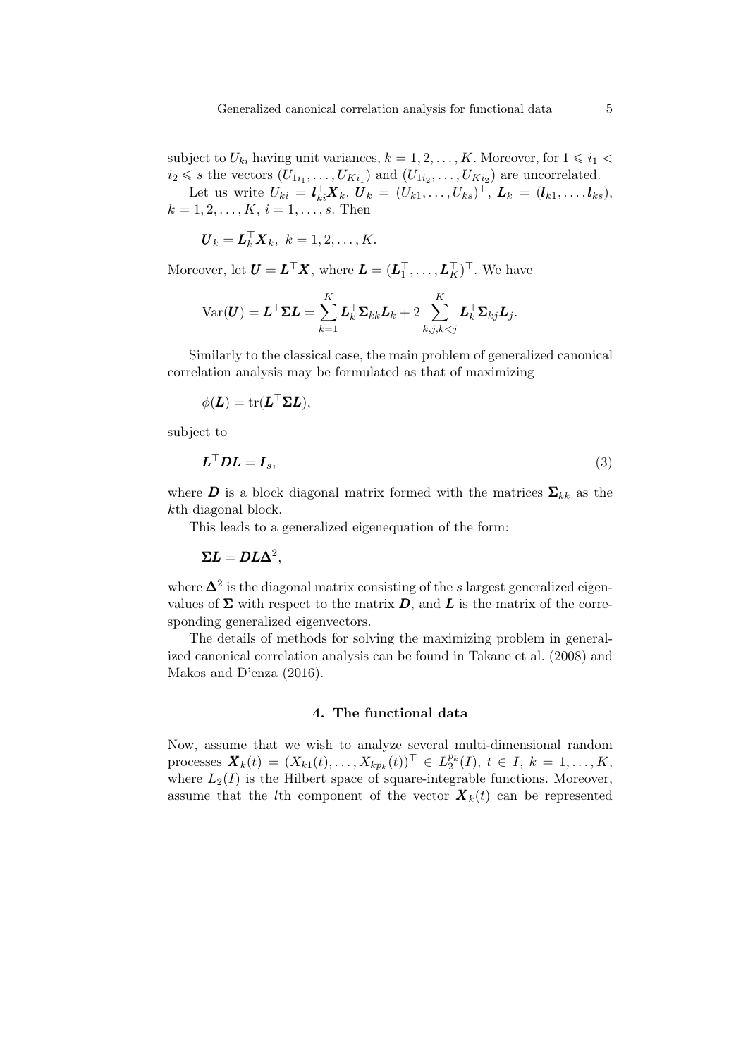subject to  $U_{ki}$  having unit variances,  $k = 1, 2, \ldots, K$ . Moreover, for  $1 \leq i_1 <$  $i_2 \leq s$  the vectors  $(U_{1i_1}, \ldots, U_{Ki_1})$  and  $(U_{1i_2}, \ldots, U_{Ki_2})$  are uncorrelated. Let us write  $U_{ki} = \mathbf{l}_{ki}^{\top} \mathbf{X}_k, \mathbf{U}_k = (U_{k1}, \dots, U_{ks})^{\top}, \mathbf{L}_k = (\mathbf{l}_{k1}, \dots, \mathbf{l}_{ks}),$ 

 $k = 1, 2, \ldots, K, i = 1, \ldots, s$ . Then

$$
\boldsymbol{U}_k = \boldsymbol{L}_k^{\top} \boldsymbol{X}_k, \ k = 1, 2, \ldots, K.
$$

Moreover, let  $\boldsymbol{U} = \boldsymbol{L}^\top \boldsymbol{X}$ , where  $\boldsymbol{L} = (\boldsymbol{L}_1^\top, \dots, \boldsymbol{L}_K^\top)^\top$ . We have

$$
\text{Var}(\boldsymbol{U}) = \boldsymbol{L}^{\top}\boldsymbol{\Sigma}\boldsymbol{L} = \sum_{k=1}^{K}\boldsymbol{L}_k^{\top}\boldsymbol{\Sigma}_{kk}\boldsymbol{L}_k + 2\sum_{k,j,k
$$

Similarly to the classical case, the main problem of generalized canonical correlation analysis may be formulated as that of maximizing

$$
\phi(\bm{L}) = \mathrm{tr}(\bm{L}^{\top}\bm{\Sigma}\bm{L}),
$$

subject to

$$
L^{\top}DL = I_s,\tag{3}
$$

where **D** is a block diagonal matrix formed with the matrices  $\Sigma_{kk}$  as the *k*th diagonal block.

This leads to a generalized eigenequation of the form:

$$
\Sigma L = D L \Delta^2,
$$

where ∆<sup>2</sup> is the diagonal matrix consisting of the *s* largest generalized eigenvalues of  $\Sigma$  with respect to the matrix  $D$ , and  $L$  is the matrix of the corresponding generalized eigenvectors.

The details of methods for solving the maximizing problem in generalized canonical correlation analysis can be found in Takane et al. (2008) and Makos and D'enza (2016).

## 4. The functional data

Now, assume that we wish to analyze several multi-dimensional random processes  $\mathbf{X}_{k}(t) = (X_{k1}(t),...,X_{kp_k}(t))^{\top} \in L_2^{p_k}(I), t \in I, k = 1,...,K,$ where  $L_2(I)$  is the Hilbert space of square-integrable functions. Moreover, assume that the *l*th component of the vector  $\mathbf{X}_k(t)$  can be represented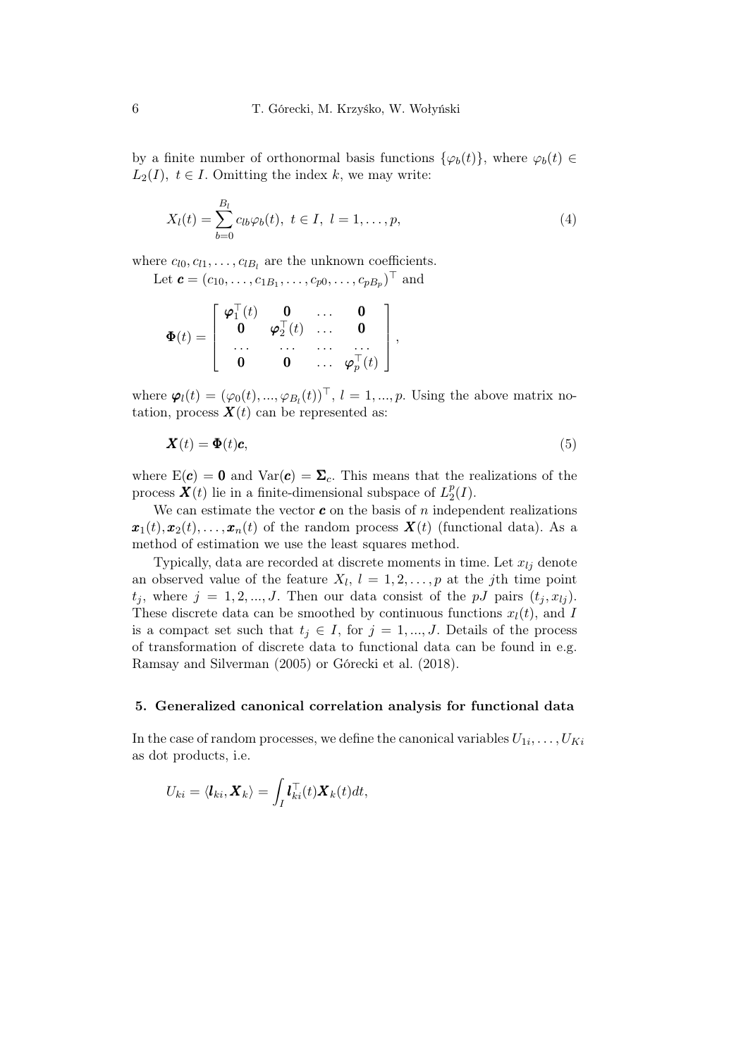by a finite number of orthonormal basis functions  $\{\varphi_b(t)\}\$ , where  $\varphi_b(t) \in$  $L_2(I)$ ,  $t \in I$ . Omitting the index *k*, we may write:

$$
X_l(t) = \sum_{b=0}^{B_l} c_{lb} \varphi_b(t), \ t \in I, \ l = 1, \dots, p,
$$
 (4)

where  $c_{l0}, c_{l1}, \ldots, c_{lB_l}$  are the unknown coefficients.

Let  $\mathbf{c} = (c_{10}, \dots, c_{1B_1}, \dots, c_{p0}, \dots, c_{pB_p})^{\top}$  and

$$
\Phi(t) = \left[ \begin{array}{cccc} \boldsymbol{\varphi}_1^\top(t) & \mathbf{0} & \dots & \mathbf{0} \\ \mathbf{0} & \boldsymbol{\varphi}_2^\top(t) & \dots & \mathbf{0} \\ \dots & \dots & \dots & \dots \\ \mathbf{0} & \mathbf{0} & \dots & \boldsymbol{\varphi}_p^\top(t) \end{array} \right]
$$

where  $\varphi_l(t) = (\varphi_0(t), ..., \varphi_{B_l}(t))^{\top}, l = 1, ..., p$ . Using the above matrix notation, process  $\mathbf{X}(t)$  can be represented as:

$$
\mathbf{X}(t) = \mathbf{\Phi}(t)\mathbf{c},\tag{5}
$$

*,*

where  $E(c) = 0$  and  $Var(c) = \Sigma_c$ . This means that the realizations of the process  $\mathbf{X}(t)$  lie in a finite-dimensional subspace of  $L_2^p$  $_{2}^{p}(I).$ 

We can estimate the vector  $\boldsymbol{c}$  on the basis of  $n$  independent realizations  $\mathbf{x}_1(t), \mathbf{x}_2(t), \ldots, \mathbf{x}_n(t)$  of the random process  $\mathbf{X}(t)$  (functional data). As a method of estimation we use the least squares method.

Typically, data are recorded at discrete moments in time. Let  $x_{lj}$  denote an observed value of the feature  $X_l$ ,  $l = 1, 2, \ldots, p$  at the *j*th time point  $t_i$ , where  $j = 1, 2, ..., J$ . Then our data consist of the *pJ* pairs  $(t_i, x_{ij})$ . These discrete data can be smoothed by continuous functions  $x_l(t)$ , and *I* is a compact set such that  $t_j \in I$ , for  $j = 1, ..., J$ . Details of the process of transformation of discrete data to functional data can be found in e.g. Ramsay and Silverman (2005) or Górecki et al. (2018).

## 5. Generalized canonical correlation analysis for functional data

In the case of random processes, we define the canonical variables  $U_{1i}, \ldots, U_{Ki}$ as dot products, i.e.

$$
U_{ki} = \langle \boldsymbol{l}_{ki}, \boldsymbol{X}_{k} \rangle = \int_{I} \boldsymbol{l}_{ki}^{\top}(t) \boldsymbol{X}_{k}(t) dt,
$$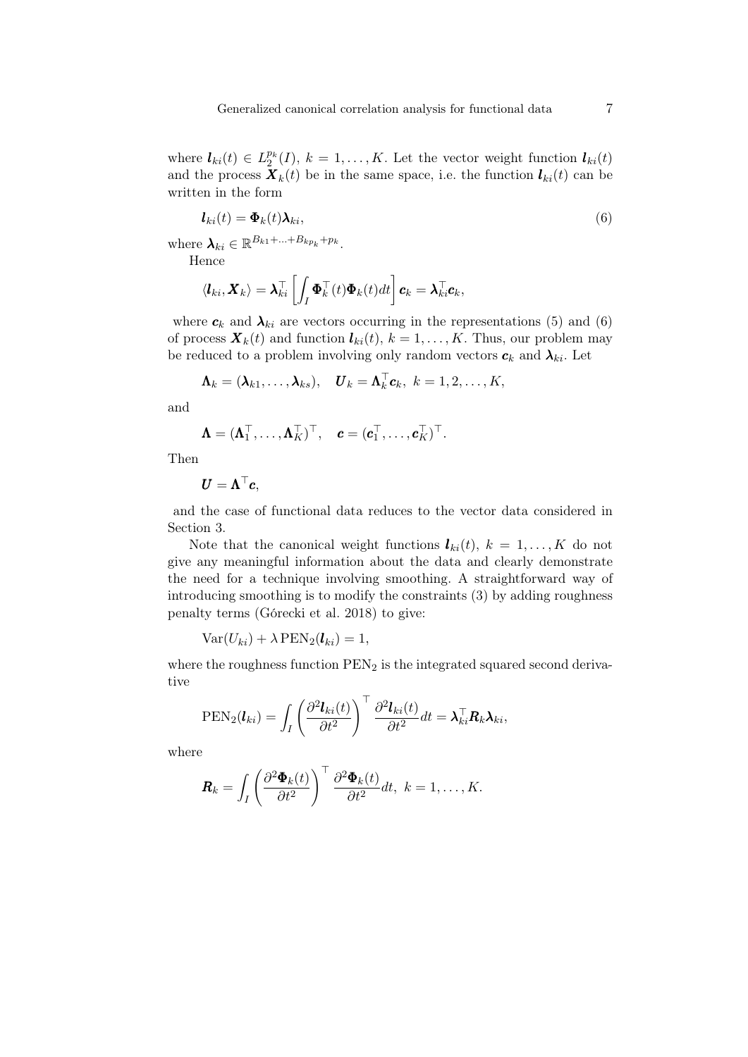where  $\mathbf{l}_{ki}(t) \in L_2^{p_k}(I), k = 1, \ldots, K$ . Let the vector weight function  $\mathbf{l}_{ki}(t)$ and the process  $\mathbf{X}_k(t)$  be in the same space, i.e. the function  $\mathbf{l}_{ki}(t)$  can be written in the form

$$
l_{ki}(t) = \Phi_k(t)\lambda_{ki},\tag{6}
$$

 $\mathbf{where} \ \mathbf{\lambda}_{ki} \in \mathbb{R}^{B_{k1} + ... + B_{kp_k} + p_k}$ .

Hence

$$
\langle \boldsymbol{l}_{ki}, \boldsymbol{X}_{k} \rangle = \boldsymbol{\lambda}_{ki}^{\top} \left[ \int_{I} \boldsymbol{\Phi}_{k}^{\top}(t) \boldsymbol{\Phi}_{k}(t) dt \right] \boldsymbol{c}_{k} = \boldsymbol{\lambda}_{ki}^{\top} \boldsymbol{c}_{k},
$$

where  $c_k$  and  $\lambda_{ki}$  are vectors occurring in the representations (5) and (6) of process  $\mathbf{X}_k(t)$  and function  $\mathbf{l}_{ki}(t)$ ,  $k = 1, \ldots, K$ . Thus, our problem may be reduced to a problem involving only random vectors  $c_k$  and  $\lambda_{ki}$ . Let

$$
\mathbf{\Lambda}_k = (\boldsymbol{\lambda}_{k1}, \dots, \boldsymbol{\lambda}_{ks}), \quad \boldsymbol{U}_k = \boldsymbol{\Lambda}_k^{\top} \boldsymbol{c}_k, \ k = 1, 2, \dots, K,
$$

and

$$
\mathbf{\Lambda} = (\mathbf{\Lambda}_1^\top, \dots, \mathbf{\Lambda}_K^\top)^\top, \quad \mathbf{c} = (\mathbf{c}_1^\top, \dots, \mathbf{c}_K^\top)^\top.
$$

Then

$$
\boldsymbol{U} = \boldsymbol{\Lambda}^\top \boldsymbol{c},
$$

and the case of functional data reduces to the vector data considered in Section 3.

Note that the canonical weight functions  $\mathbf{l}_{ki}(t)$ ,  $k = 1, \ldots, K$  do not give any meaningful information about the data and clearly demonstrate the need for a technique involving smoothing. A straightforward way of introducing smoothing is to modify the constraints (3) by adding roughness penalty terms (Górecki et al. 2018) to give:

 $Var(U_{ki}) + \lambda \text{PEN}_2(\mathbf{l}_{ki}) = 1$ ,

where the roughness function  $\text{PEN}_2$  is the integrated squared second derivative

$$
PEN_2(\boldsymbol{l}_{ki}) = \int_I \left(\frac{\partial^2 \boldsymbol{l}_{ki}(t)}{\partial t^2}\right)^{\top} \frac{\partial^2 \boldsymbol{l}_{ki}(t)}{\partial t^2} dt = \boldsymbol{\lambda}_{ki}^{\top} \boldsymbol{R}_k \boldsymbol{\lambda}_{ki},
$$

where

$$
\boldsymbol{R}_k = \int_I \left( \frac{\partial^2 \boldsymbol{\Phi}_k(t)}{\partial t^2} \right)^{\top} \frac{\partial^2 \boldsymbol{\Phi}_k(t)}{\partial t^2} dt, \ k = 1, \ldots, K.
$$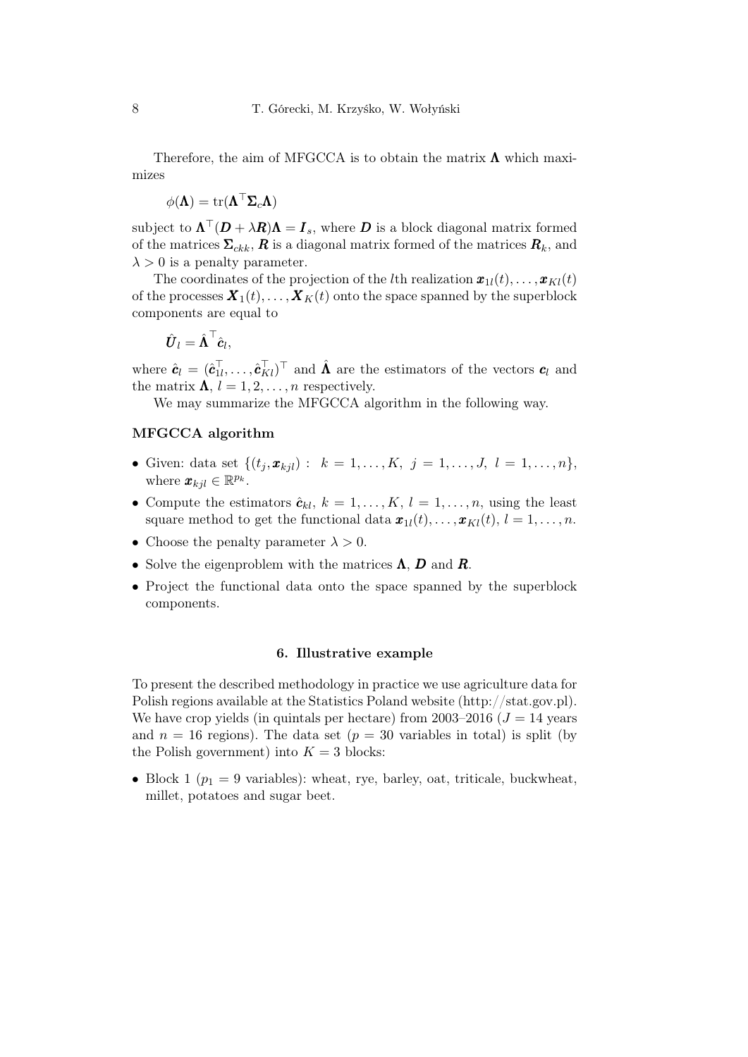Therefore, the aim of MFGCCA is to obtain the matrix  $\Lambda$  which maximizes

$$
\phi(\mathbf{\Lambda}) = \mathrm{tr}(\mathbf{\Lambda}^\top \mathbf{\Sigma}_c \mathbf{\Lambda})
$$

 $\text{subject to } \Lambda^{\top}(\boldsymbol{D} + \lambda \boldsymbol{R})\Lambda = \boldsymbol{I}_s$ , where  $\boldsymbol{D}$  is a block diagonal matrix formed of the matrices  $\Sigma_{ckk}$ ,  $R$  is a diagonal matrix formed of the matrices  $R_k$ , and  $\lambda > 0$  is a penalty parameter.

The coordinates of the projection of the *l*th realization  $\boldsymbol{x}_{1l}(t), \ldots, \boldsymbol{x}_{Kl}(t)$ of the processes  $\mathbf{X}_1(t), \ldots, \mathbf{X}_K(t)$  onto the space spanned by the superblock components are equal to

$$
\hat{\boldsymbol{U}}_l = \hat{\boldsymbol{\Lambda}}^\top \hat{\boldsymbol{c}}_l,
$$

where  $\hat{\mathbf{c}}_l = (\hat{\mathbf{c}}_{1l}^\top, \dots, \hat{\mathbf{c}}_{Kl}^\top)^\top$  and  $\hat{\mathbf{\Lambda}}$  are the estimators of the vectors  $\mathbf{c}_l$  and the matrix  $\Lambda$ ,  $l = 1, 2, \ldots, n$  respectively.

We may summarize the MFGCCA algorithm in the following way.

## MFGCCA algorithm

- Given: data set  $\{(t_i, x_{ki}) : k = 1, ..., K, j = 1, ..., J, l = 1, ..., n\}$ where  $\mathbf{x}_{kjl} \in \mathbb{R}^{p_k}$ .
- Compute the estimators  $\hat{\mathbf{c}}_{kl}$ ,  $k = 1, \ldots, K$ ,  $l = 1, \ldots, n$ , using the least square method to get the functional data  $\boldsymbol{x}_{1l}(t), \ldots, \boldsymbol{x}_{kl}(t), l = 1, \ldots, n$ .
- Choose the penalty parameter  $\lambda > 0$ .
- Solve the eigenproblem with the matrices Λ, *D* and *R*.
- Project the functional data onto the space spanned by the superblock components.

#### 6. Illustrative example

To present the described methodology in practice we use agriculture data for Polish regions available at the Statistics Poland website (http://stat.gov.pl). We have crop yields (in quintals per hectare) from  $2003-2016$  ( $J = 14$  years and  $n = 16$  regions). The data set  $(p = 30$  variables in total) is split (by the Polish government) into  $K = 3$  blocks:

• Block 1 ( $p_1 = 9$  variables): wheat, rye, barley, oat, triticale, buckwheat, millet, potatoes and sugar beet.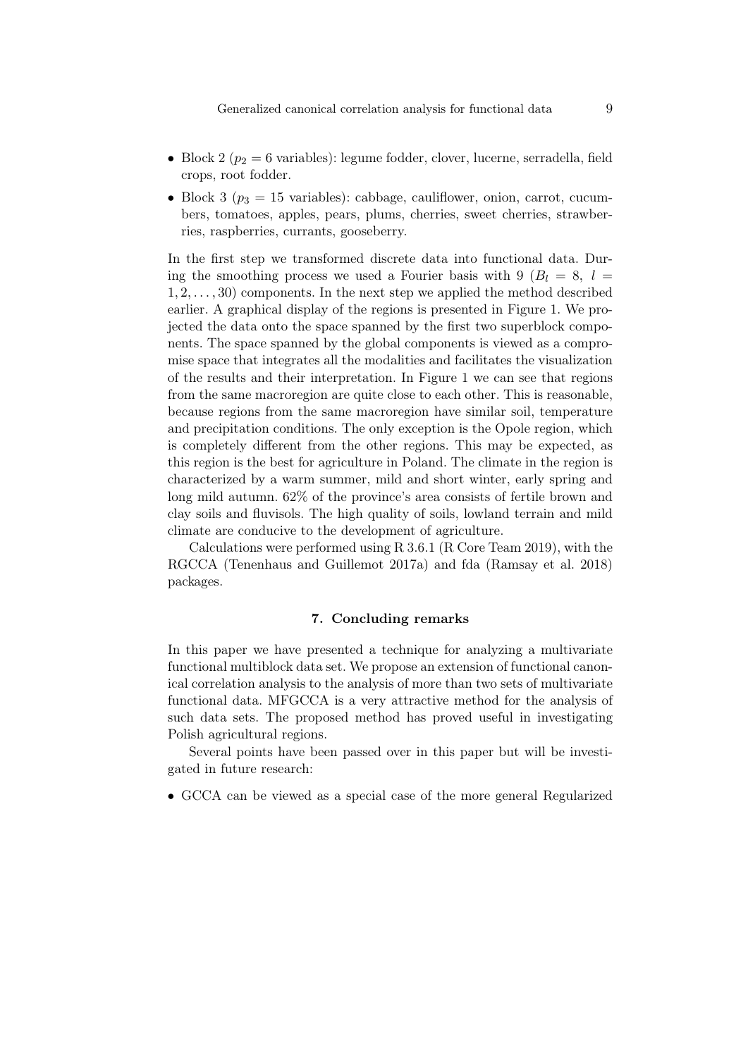- Block 2 ( $p_2 = 6$  variables): legume fodder, clover, lucerne, serradella, field crops, root fodder.
- Block 3  $(p_3 = 15 \text{ variables})$ : cabbage, cauliflower, onion, carrot, cucumbers, tomatoes, apples, pears, plums, cherries, sweet cherries, strawberries, raspberries, currants, gooseberry.

In the first step we transformed discrete data into functional data. During the smoothing process we used a Fourier basis with 9  $(B_l = 8, l = 1)$ 1*,* 2*, . . . ,* 30) components. In the next step we applied the method described earlier. A graphical display of the regions is presented in Figure 1. We projected the data onto the space spanned by the first two superblock components. The space spanned by the global components is viewed as a compromise space that integrates all the modalities and facilitates the visualization of the results and their interpretation. In Figure 1 we can see that regions from the same macroregion are quite close to each other. This is reasonable, because regions from the same macroregion have similar soil, temperature and precipitation conditions. The only exception is the Opole region, which is completely different from the other regions. This may be expected, as this region is the best for agriculture in Poland. The climate in the region is characterized by a warm summer, mild and short winter, early spring and long mild autumn. 62% of the province's area consists of fertile brown and clay soils and fluvisols. The high quality of soils, lowland terrain and mild climate are conducive to the development of agriculture.

Calculations were performed using R 3.6.1 (R Core Team 2019), with the RGCCA (Tenenhaus and Guillemot 2017a) and fda (Ramsay et al. 2018) packages.

#### 7. Concluding remarks

In this paper we have presented a technique for analyzing a multivariate functional multiblock data set. We propose an extension of functional canonical correlation analysis to the analysis of more than two sets of multivariate functional data. MFGCCA is a very attractive method for the analysis of such data sets. The proposed method has proved useful in investigating Polish agricultural regions.

Several points have been passed over in this paper but will be investigated in future research:

• GCCA can be viewed as a special case of the more general Regularized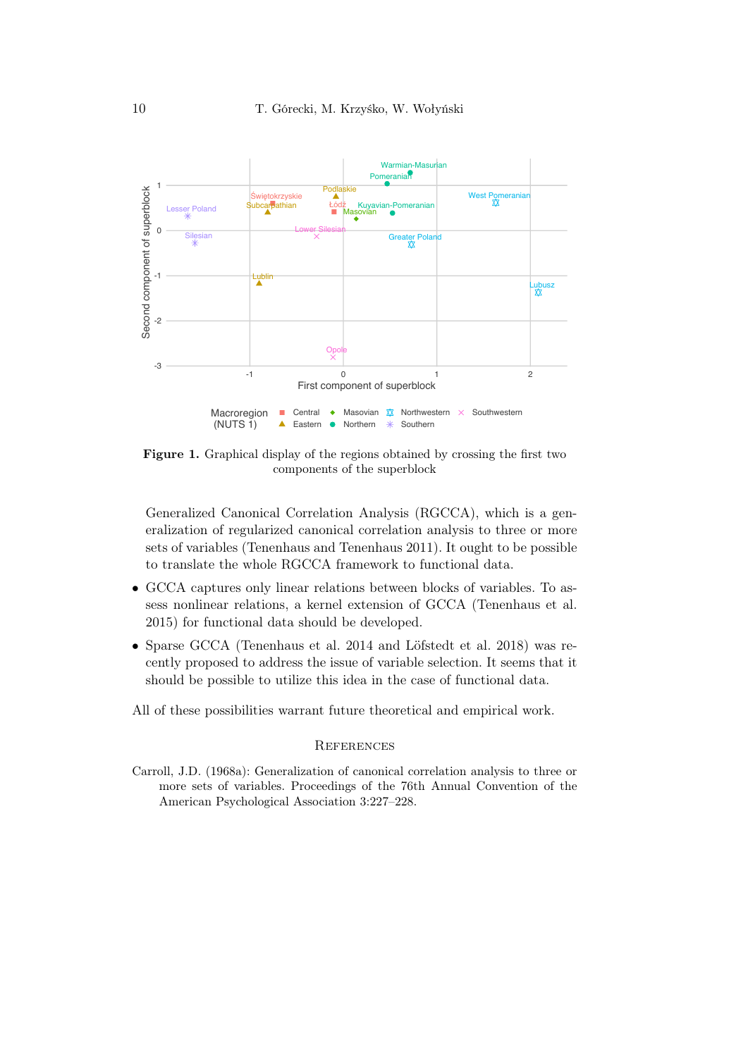

Figure 1. Graphical display of the regions obtained by crossing the first two components of the superblock

Generalized Canonical Correlation Analysis (RGCCA), which is a generalization of regularized canonical correlation analysis to three or more sets of variables (Tenenhaus and Tenenhaus 2011). It ought to be possible to translate the whole RGCCA framework to functional data.

- GCCA captures only linear relations between blocks of variables. To assess nonlinear relations, a kernel extension of GCCA (Tenenhaus et al. 2015) for functional data should be developed.
- Sparse GCCA (Tenenhaus et al. 2014 and Löfstedt et al. 2018) was recently proposed to address the issue of variable selection. It seems that it should be possible to utilize this idea in the case of functional data.

All of these possibilities warrant future theoretical and empirical work.

#### **REFERENCES**

Carroll, J.D. (1968a): Generalization of canonical correlation analysis to three or more sets of variables. Proceedings of the 76th Annual Convention of the American Psychological Association 3:227–228.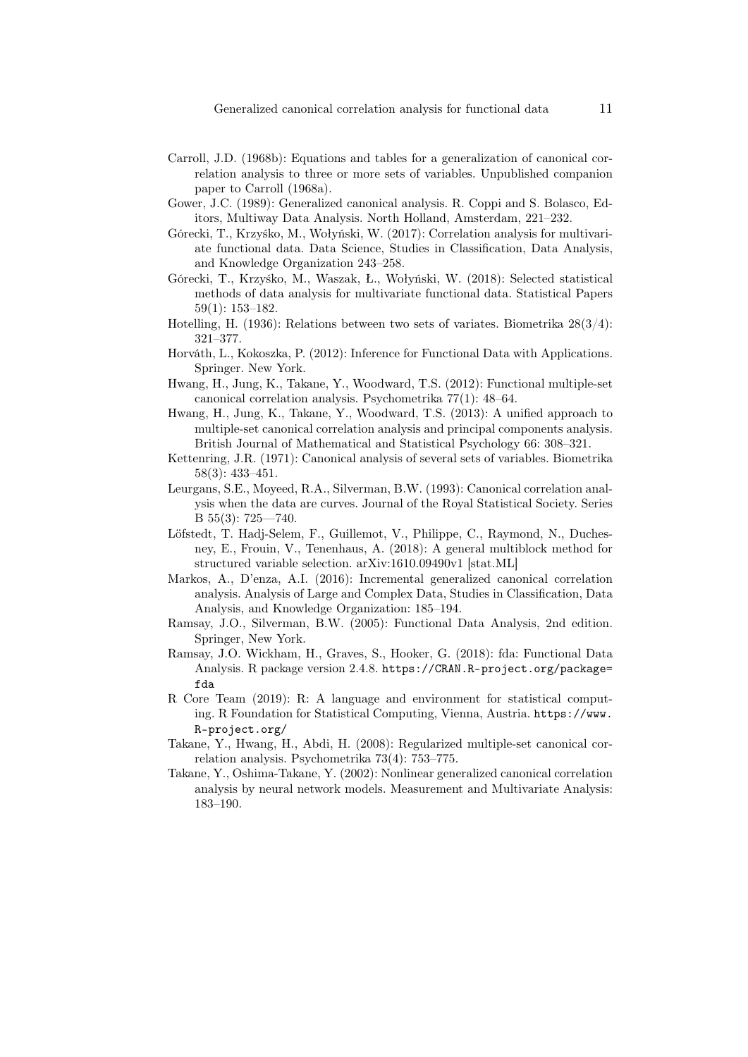- Carroll, J.D. (1968b): Equations and tables for a generalization of canonical correlation analysis to three or more sets of variables. Unpublished companion paper to Carroll (1968a).
- Gower, J.C. (1989): Generalized canonical analysis. R. Coppi and S. Bolasco, Editors, Multiway Data Analysis. North Holland, Amsterdam, 221–232.
- Górecki, T., Krzyśko, M., Wołyński, W. (2017): Correlation analysis for multivariate functional data. Data Science, Studies in Classification, Data Analysis, and Knowledge Organization 243–258.
- Górecki, T., Krzyśko, M., Waszak, Ł., Wołyński, W. (2018): Selected statistical methods of data analysis for multivariate functional data. Statistical Papers 59(1): 153–182.
- Hotelling, H. (1936): Relations between two sets of variates. Biometrika  $28(3/4)$ : 321–377.
- Horváth, L., Kokoszka, P. (2012): Inference for Functional Data with Applications. Springer. New York.
- Hwang, H., Jung, K., Takane, Y., Woodward, T.S. (2012): Functional multiple-set canonical correlation analysis. Psychometrika 77(1): 48–64.
- Hwang, H., Jung, K., Takane, Y., Woodward, T.S. (2013): A unified approach to multiple-set canonical correlation analysis and principal components analysis. British Journal of Mathematical and Statistical Psychology 66: 308–321.
- Kettenring, J.R. (1971): Canonical analysis of several sets of variables. Biometrika 58(3): 433–451.
- Leurgans, S.E., Moyeed, R.A., Silverman, B.W. (1993): Canonical correlation analysis when the data are curves. Journal of the Royal Statistical Society. Series B 55(3): 725—740.
- Löfstedt, T. Hadj-Selem, F., Guillemot, V., Philippe, C., Raymond, N., Duchesney, E., Frouin, V., Tenenhaus, A. (2018): A general multiblock method for structured variable selection. arXiv:1610.09490v1 [stat.ML]
- Markos, A., D'enza, A.I. (2016): Incremental generalized canonical correlation analysis. Analysis of Large and Complex Data, Studies in Classification, Data Analysis, and Knowledge Organization: 185–194.
- Ramsay, J.O., Silverman, B.W. (2005): Functional Data Analysis, 2nd edition. Springer, New York.
- Ramsay, J.O. Wickham, H., Graves, S., Hooker, G. (2018): fda: Functional Data Analysis. R package version 2.4.8. https://CRAN.R-project.org/package= fda
- R Core Team (2019): R: A language and environment for statistical computing. R Foundation for Statistical Computing, Vienna, Austria. https://www. R-project.org/
- Takane, Y., Hwang, H., Abdi, H. (2008): Regularized multiple-set canonical correlation analysis. Psychometrika 73(4): 753–775.
- Takane, Y., Oshima-Takane, Y. (2002): Nonlinear generalized canonical correlation analysis by neural network models. Measurement and Multivariate Analysis: 183–190.